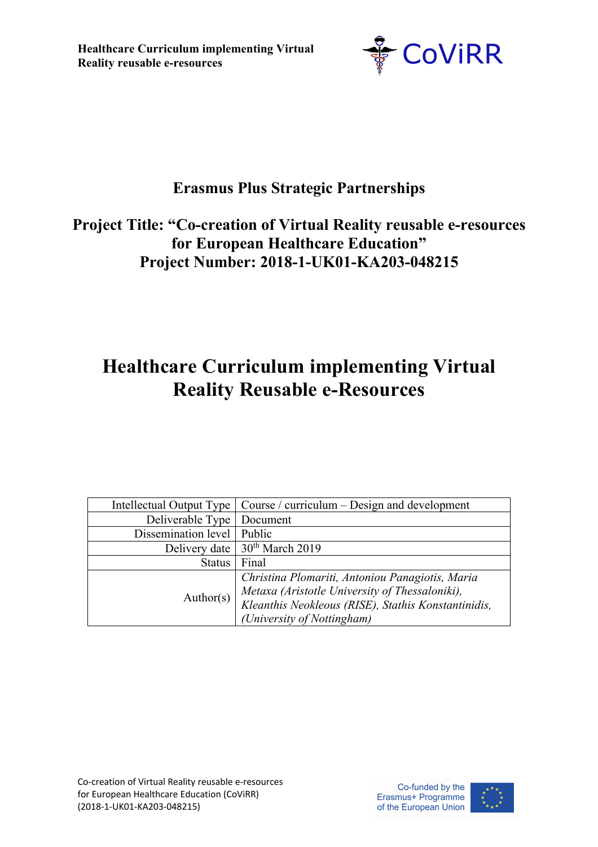

# **Erasmus Plus Strategic Partnerships**

# **Project Title: "Co-creation of Virtual Reality reusable e-resources for European Healthcare Education" Project Number: 2018-1-UK01-KA203-048215**

# **Healthcare Curriculum implementing Virtual Reality Reusable e-Resources**

| Intellectual Output Type     | $\vert$ Course / curriculum – Design and development |
|------------------------------|------------------------------------------------------|
| Deliverable Type             | Document                                             |
| Dissemination level   Public |                                                      |
| Delivery date                | 30 <sup>th</sup> March 2019                          |
| <b>Status</b>                | Final                                                |
| Author(s)                    | Christina Plomariti, Antoniou Panagiotis, Maria      |
|                              | Metaxa (Aristotle University of Thessaloniki),       |
|                              | Kleanthis Neokleous (RISE), Stathis Konstantinidis,  |
|                              | (University of Nottingham)                           |

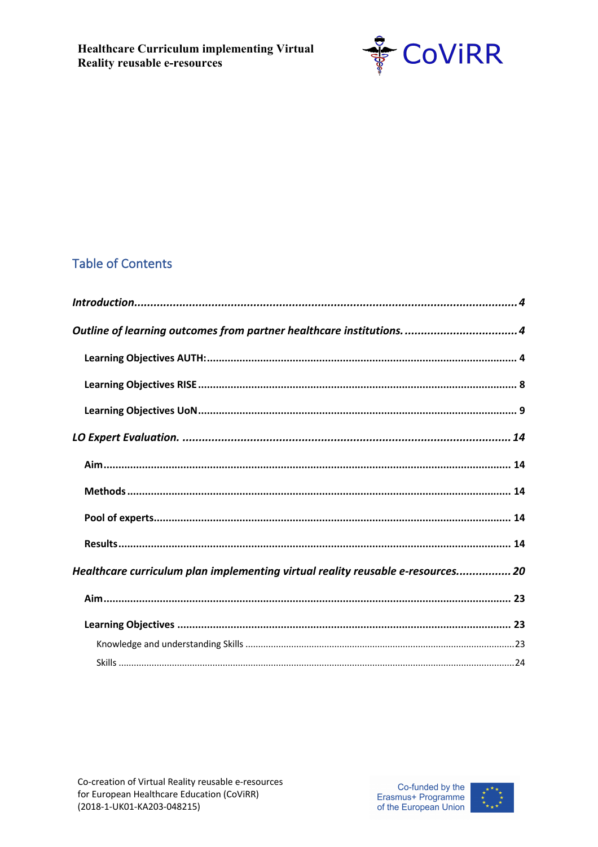

## **Table of Contents**

| Outline of learning outcomes from partner healthcare institutions4              |  |
|---------------------------------------------------------------------------------|--|
|                                                                                 |  |
|                                                                                 |  |
|                                                                                 |  |
|                                                                                 |  |
|                                                                                 |  |
|                                                                                 |  |
|                                                                                 |  |
|                                                                                 |  |
| Healthcare curriculum plan implementing virtual reality reusable e-resources 20 |  |
|                                                                                 |  |
|                                                                                 |  |
|                                                                                 |  |
|                                                                                 |  |

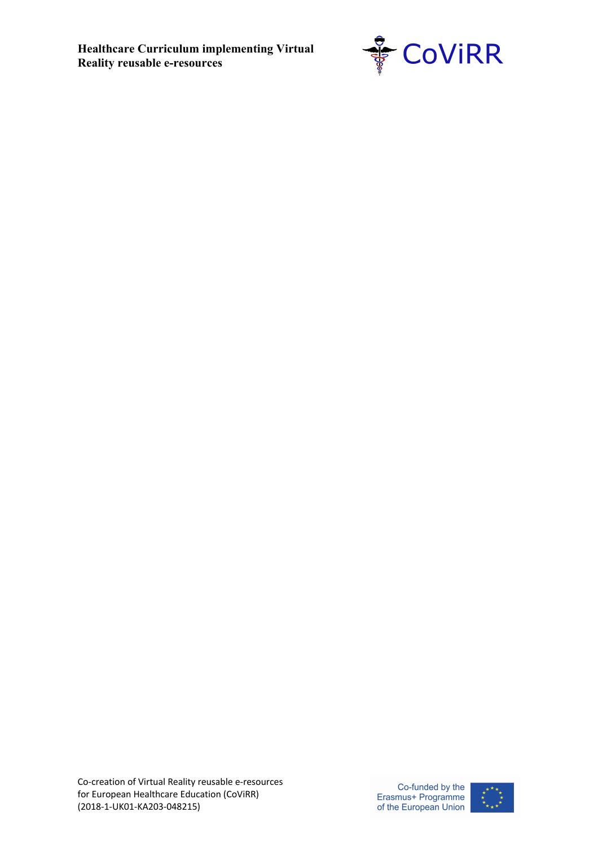

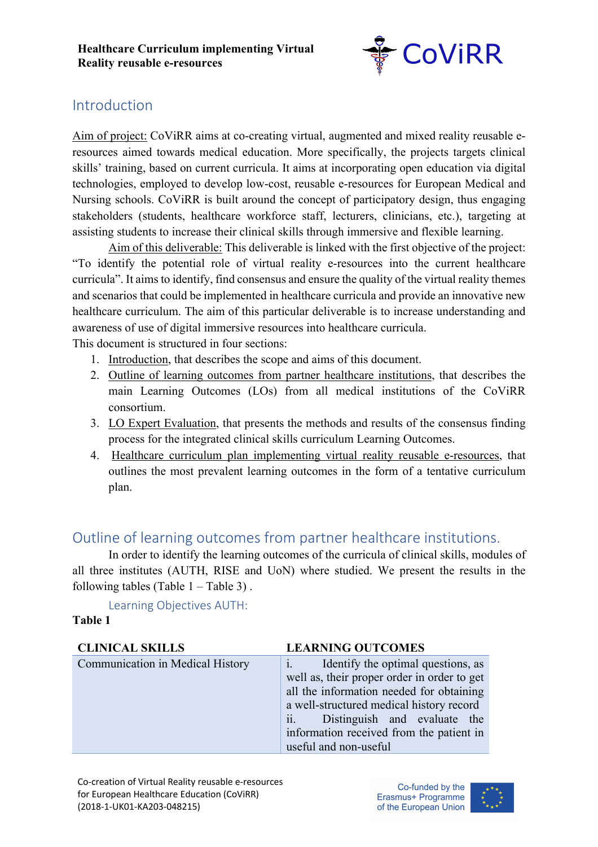

# Introduction

Aim of project: CoViRR aims at co-creating virtual, augmented and mixed reality reusable eresources aimed towards medical education. More specifically, the projects targets clinical skills' training, based on current curricula. It aims at incorporating open education via digital technologies, employed to develop low-cost, reusable e-resources for European Medical and Nursing schools. CoViRR is built around the concept of participatory design, thus engaging stakeholders (students, healthcare workforce staff, lecturers, clinicians, etc.), targeting at assisting students to increase their clinical skills through immersive and flexible learning.

Aim of this deliverable: This deliverable is linked with the first objective of the project: "To identify the potential role of virtual reality e-resources into the current healthcare curricula". It aims to identify, find consensus and ensure the quality of the virtual reality themes and scenarios that could be implemented in healthcare curricula and provide an innovative new healthcare curriculum. The aim of this particular deliverable is to increase understanding and awareness of use of digital immersive resources into healthcare curricula.

This document is structured in four sections:

- 1. Introduction, that describes the scope and aims of this document.
- 2. Outline of learning outcomes from partner healthcare institutions, that describes the main Learning Outcomes (LOs) from all medical institutions of the CoViRR consortium.
- 3. LO Expert Evaluation, that presents the methods and results of the consensus finding process for the integrated clinical skills curriculum Learning Outcomes.
- 4. Healthcare curriculum plan implementing virtual reality reusable e-resources, that outlines the most prevalent learning outcomes in the form of a tentative curriculum plan.

### Outline of learning outcomes from partner healthcare institutions.

In order to identify the learning outcomes of the curricula of clinical skills, modules of all three institutes (AUTH, RISE and UoN) where studied. We present the results in the following tables (Table  $1 -$ Table 3).

Learning Objectives AUTH:

| <b>CLINICAL SKILLS</b>           | <b>LEARNING OUTCOMES</b>                    |
|----------------------------------|---------------------------------------------|
| Communication in Medical History | Identify the optimal questions, as          |
|                                  | well as, their proper order in order to get |
|                                  | all the information needed for obtaining    |
|                                  | a well-structured medical history record    |
|                                  | ii. Distinguish and evaluate the            |
|                                  | information received from the patient in    |
|                                  | useful and non-useful                       |

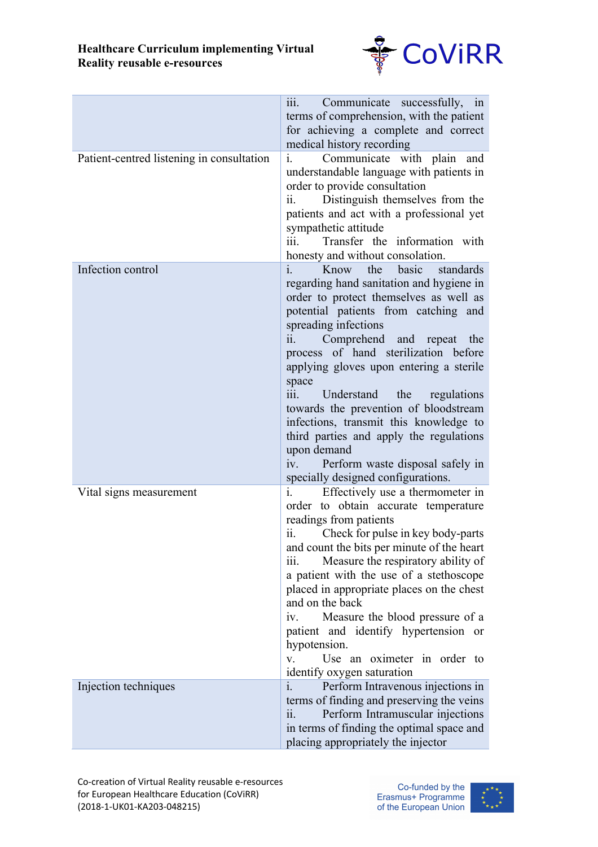

|                                           | iii.<br>Communicate successfully, in<br>terms of comprehension, with the patient                                                                                                                                                                                                                                                                                                                                                                                                                                                                                                                                            |
|-------------------------------------------|-----------------------------------------------------------------------------------------------------------------------------------------------------------------------------------------------------------------------------------------------------------------------------------------------------------------------------------------------------------------------------------------------------------------------------------------------------------------------------------------------------------------------------------------------------------------------------------------------------------------------------|
|                                           | for achieving a complete and correct<br>medical history recording                                                                                                                                                                                                                                                                                                                                                                                                                                                                                                                                                           |
| Patient-centred listening in consultation | Communicate with plain and<br>i.<br>understandable language with patients in<br>order to provide consultation<br>Distinguish themselves from the<br>ii.<br>patients and act with a professional yet<br>sympathetic attitude<br>Transfer the information with<br>$\overline{111}$ .<br>honesty and without consolation.                                                                                                                                                                                                                                                                                                      |
| Infection control                         | Know the basic<br>standards<br>$\mathbf{i}$ .<br>regarding hand sanitation and hygiene in<br>order to protect themselves as well as<br>potential patients from catching and<br>spreading infections<br>Comprehend and repeat<br>ii.<br>the<br>process of hand sterilization before<br>applying gloves upon entering a sterile<br>space<br>$\overline{111}$ .<br>Understand the<br>regulations<br>towards the prevention of bloodstream<br>infections, transmit this knowledge to<br>third parties and apply the regulations<br>upon demand<br>Perform waste disposal safely in<br>iv.<br>specially designed configurations. |
| Vital signs measurement                   | Effectively use a thermometer in<br>$\mathbf{i}$ .<br>order to obtain accurate temperature<br>readings from patients<br>ii. Check for pulse in key body-parts<br>and count the bits per minute of the heart<br>Measure the respiratory ability of<br>111.<br>a patient with the use of a stethoscope<br>placed in appropriate places on the chest<br>and on the back<br>Measure the blood pressure of a<br>1V.<br>patient and identify hypertension or<br>hypotension.<br>Use an oximeter in order to<br>$V_{r}$<br>identify oxygen saturation                                                                              |
| Injection techniques                      | Perform Intravenous injections in<br>$\mathbf{1}$ .<br>terms of finding and preserving the veins<br>Perform Intramuscular injections<br>ii.<br>in terms of finding the optimal space and<br>placing appropriately the injector                                                                                                                                                                                                                                                                                                                                                                                              |

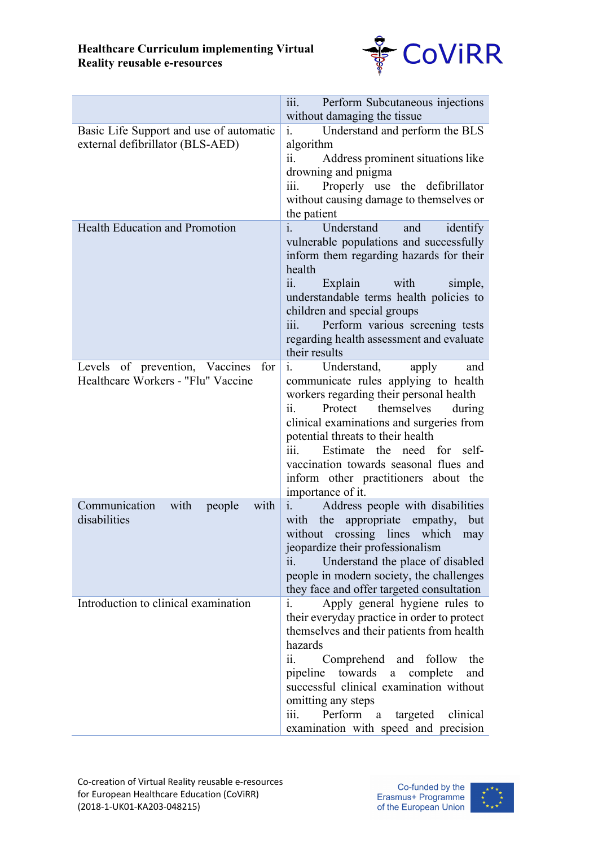

|                                                                             | Perform Subcutaneous injections<br>111.<br>without damaging the tissue                                                                                                                                                                                                                                                                                                                                                     |
|-----------------------------------------------------------------------------|----------------------------------------------------------------------------------------------------------------------------------------------------------------------------------------------------------------------------------------------------------------------------------------------------------------------------------------------------------------------------------------------------------------------------|
| Basic Life Support and use of automatic<br>external defibrillator (BLS-AED) | Understand and perform the BLS<br>i.<br>algorithm<br>Address prominent situations like<br>11.<br>drowning and pnigma<br>iii.<br>Properly use the defibrillator<br>without causing damage to themselves or<br>the patient                                                                                                                                                                                                   |
| Health Education and Promotion                                              | Understand<br>identify<br>$\mathbf{i}$ .<br>and<br>vulnerable populations and successfully<br>inform them regarding hazards for their<br>health<br>ii.<br>Explain with<br>simple,<br>understandable terms health policies to<br>children and special groups<br>$\overline{111}$ .<br>Perform various screening tests<br>regarding health assessment and evaluate<br>their results                                          |
| Levels of prevention, Vaccines<br>for<br>Healthcare Workers - "Flu" Vaccine | $\mathbf{i}$ .<br>Understand,<br>apply<br>and<br>communicate rules applying to health<br>workers regarding their personal health<br>Protect themselves<br>during<br>ii.<br>clinical examinations and surgeries from<br>potential threats to their health<br>Estimate the need for self-<br>111.<br>vaccination towards seasonal flues and<br>inform other practitioners about the<br>importance of it.                     |
| Communication<br>with<br>people<br>with<br>disabilities                     | i. Address people with disabilities<br>with the appropriate empathy,<br>but<br>without crossing lines which<br>may<br>jeopardize their professionalism<br>Understand the place of disabled<br>11.<br>people in modern society, the challenges<br>they face and offer targeted consultation                                                                                                                                 |
| Introduction to clinical examination                                        | Apply general hygiene rules to<br>1.<br>their everyday practice in order to protect<br>themselves and their patients from health<br>hazards<br>Comprehend and follow<br>the<br>$\overline{11}$ .<br>pipeline<br>towards<br>a<br>complete<br>and<br>successful clinical examination without<br>omitting any steps<br>Perform a<br>$\overline{\text{iii}}$ .<br>clinical<br>targeted<br>examination with speed and precision |

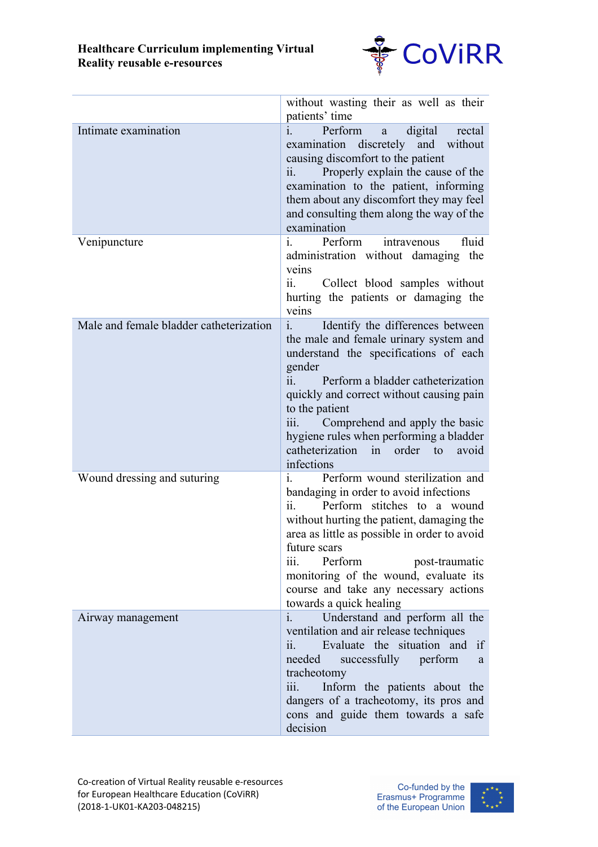

|                                         | without wasting their as well as their<br>patients' time                                                                                                                                                                                                                                                                                                                                                           |
|-----------------------------------------|--------------------------------------------------------------------------------------------------------------------------------------------------------------------------------------------------------------------------------------------------------------------------------------------------------------------------------------------------------------------------------------------------------------------|
| Intimate examination                    | Perform<br>digital<br>rectal<br>İ.<br>a<br>examination discretely<br>and without<br>causing discomfort to the patient<br>Properly explain the cause of the<br>11.<br>examination to the patient, informing<br>them about any discomfort they may feel<br>and consulting them along the way of the<br>examination                                                                                                   |
| Venipuncture                            | Perform<br>intravenous<br>fluid<br>$\mathbf{i}$ .<br>administration without damaging<br>the<br>veins<br>ii.<br>Collect blood samples without<br>hurting the patients or damaging the<br>veins                                                                                                                                                                                                                      |
| Male and female bladder catheterization | $i$ .<br>Identify the differences between<br>the male and female urinary system and<br>understand the specifications of each<br>gender<br>Perform a bladder catheterization<br>ii.<br>quickly and correct without causing pain<br>to the patient<br>Comprehend and apply the basic<br>$\overline{111}$ .<br>hygiene rules when performing a bladder<br>catheterization<br>order<br>avoid<br>in<br>to<br>infections |
| Wound dressing and suturing             | Perform wound sterilization and<br>$\mathbf{1}$ .<br>bandaging in order to avoid infections<br>Perform stitches to a wound<br>ii.<br>without hurting the patient, damaging the<br>area as little as possible in order to avoid<br>future scars<br>Perform<br>post-traumatic<br>111.<br>monitoring of the wound, evaluate its<br>course and take any necessary actions<br>towards a quick healing                   |
| Airway management                       | Understand and perform all the<br>$i$ .<br>ventilation and air release techniques<br>ii. Evaluate the situation and if<br>needed<br>successfully perform<br>a<br>tracheotomy<br>Inform the patients about the<br>iii.<br>dangers of a tracheotomy, its pros and<br>cons and guide them towards a safe<br>decision                                                                                                  |

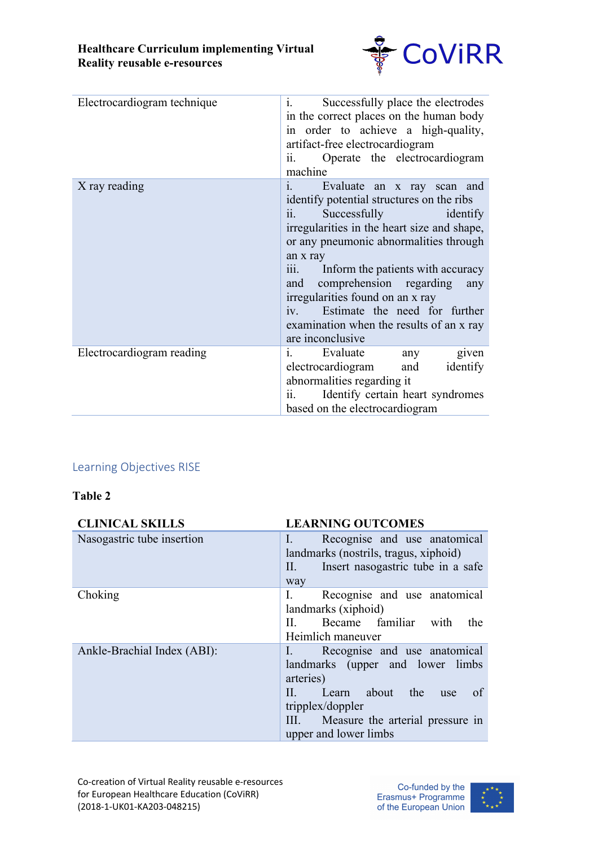

| Electrocardiogram technique | Successfully place the electrodes<br>$1.$ $\sim$<br>in the correct places on the human body<br>in order to achieve a high-quality,<br>artifact-free electrocardiogram<br>ii. Operate the electrocardiogram<br>machine                                                                                                                                                                                                                                           |
|-----------------------------|-----------------------------------------------------------------------------------------------------------------------------------------------------------------------------------------------------------------------------------------------------------------------------------------------------------------------------------------------------------------------------------------------------------------------------------------------------------------|
| X ray reading               | i. Evaluate an x ray scan and<br>identify potential structures on the ribs<br>Successfully identify<br>$\overline{\mathbf{11}}$ .<br>irregularities in the heart size and shape,<br>or any pneumonic abnormalities through<br>an x ray<br>iii. Inform the patients with accuracy<br>and comprehension regarding<br>any<br>irregularities found on an x ray<br>iv. Estimate the need for further<br>examination when the results of an x ray<br>are inconclusive |
| Electrocardiogram reading   | Evaluate any<br>given<br>1.111<br>electrocardiogram and<br>identify<br>abnormalities regarding it<br>ii. Identify certain heart syndromes<br>based on the electrocardiogram                                                                                                                                                                                                                                                                                     |

### Learning Objectives RISE

| <b>CLINICAL SKILLS</b>      | <b>LEARNING OUTCOMES</b>                                                                                                                                                                                            |
|-----------------------------|---------------------------------------------------------------------------------------------------------------------------------------------------------------------------------------------------------------------|
| Nasogastric tube insertion  | Recognise and use anatomical<br>landmarks (nostrils, tragus, xiphoid)<br>Insert nasogastric tube in a safe<br>II.<br>way                                                                                            |
| Choking                     | Recognise and use anatomical<br>$\mathbf{I}$ .<br>landmarks (xiphoid)<br>Became familiar with<br>the<br>H.<br>Heimlich maneuver                                                                                     |
| Ankle-Brachial Index (ABI): | I. Recognise and use anatomical<br>landmarks (upper and lower limbs<br>arteries)<br>Learn about the<br>$\Pi$ .<br>- of<br>use<br>tripplex/doppler<br>III. Measure the arterial pressure in<br>upper and lower limbs |

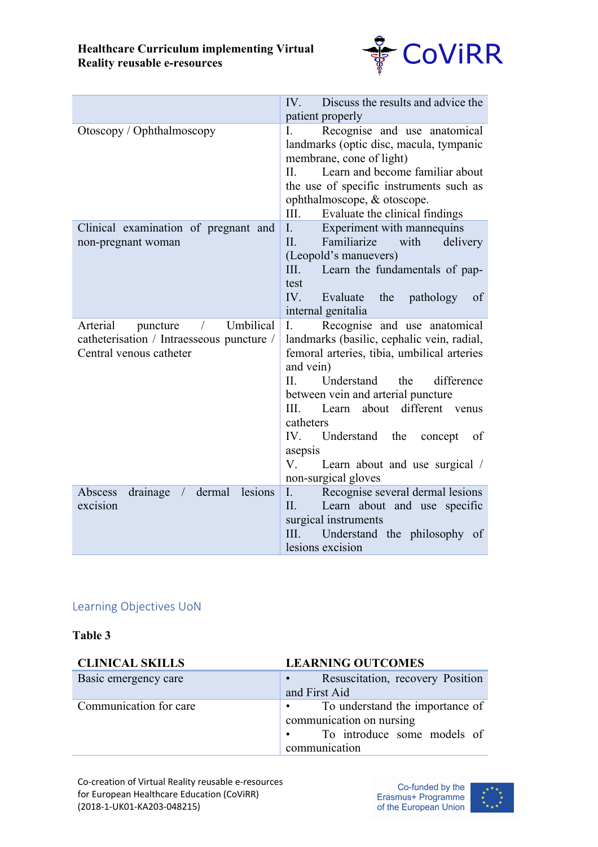

|                                                                                                                            | IV. Discuss the results and advice the                                                                                                                                                                                                                                                                                                                                                      |
|----------------------------------------------------------------------------------------------------------------------------|---------------------------------------------------------------------------------------------------------------------------------------------------------------------------------------------------------------------------------------------------------------------------------------------------------------------------------------------------------------------------------------------|
|                                                                                                                            | patient properly                                                                                                                                                                                                                                                                                                                                                                            |
| Otoscopy / Ophthalmoscopy                                                                                                  | Recognise and use anatomical<br>Ι.<br>landmarks (optic disc, macula, tympanic<br>membrane, cone of light)<br>Learn and become familiar about<br>II.<br>the use of specific instruments such as<br>ophthalmoscope, & otoscope.<br>Evaluate the clinical findings<br>III.                                                                                                                     |
| Clinical examination of pregnant and<br>non-pregnant woman                                                                 | I. Experiment with mannequins<br>$\Pi$ .<br>Familiarize with<br>delivery                                                                                                                                                                                                                                                                                                                    |
|                                                                                                                            | (Leopold's manuevers)<br>Learn the fundamentals of pap-<br>III.<br>test<br>IV. Evaluate the pathology of                                                                                                                                                                                                                                                                                    |
|                                                                                                                            | internal genitalia                                                                                                                                                                                                                                                                                                                                                                          |
| Umbilical<br>Arterial<br>puncture<br>$\frac{1}{2}$<br>catheterisation / Intraesseous puncture /<br>Central venous catheter | Recognise and use anatomical<br>Ι.<br>landmarks (basilic, cephalic vein, radial,<br>femoral arteries, tibia, umbilical arteries<br>and vein)<br>Understand the<br>difference<br>П.<br>between vein and arterial puncture<br>about different venus<br>Learn<br>Ш.<br>catheters<br>IV. Understand the<br>concept of<br>asepsis<br>V.<br>Learn about and use surgical /<br>non-surgical gloves |
| Abscess<br>drainage<br>lesions<br>dermal<br>$\frac{1}{2}$<br>excision                                                      | $\mathbf{I}$ .<br>Recognise several dermal lesions<br>II.<br>Learn about and use specific<br>surgical instruments<br>III.<br>Understand the philosophy of<br>lesions excision                                                                                                                                                                                                               |

### Learning Objectives UoN

| <b>CLINICAL SKILLS</b> | <b>LEARNING OUTCOMES</b>                                                                                        |
|------------------------|-----------------------------------------------------------------------------------------------------------------|
| Basic emergency care   | • Resuscitation, recovery Position<br>and First Aid                                                             |
| Communication for care | • To understand the importance of<br>communication on nursing<br>• To introduce some models of<br>communication |

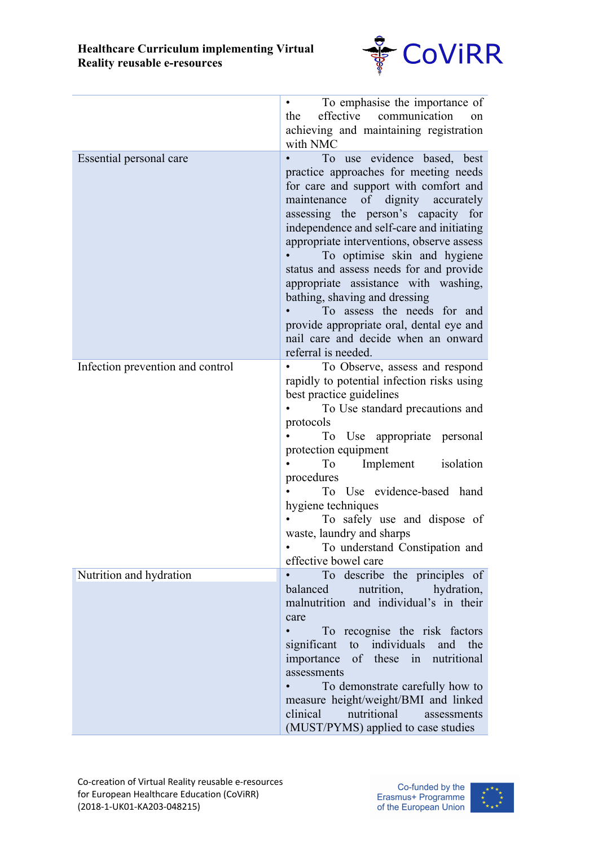

|                                  | To emphasise the importance of<br>effective communication<br>the<br>on<br>achieving and maintaining registration<br>with NMC                                                                                                                                                                                                                                                                                                                                                                                                                                                     |
|----------------------------------|----------------------------------------------------------------------------------------------------------------------------------------------------------------------------------------------------------------------------------------------------------------------------------------------------------------------------------------------------------------------------------------------------------------------------------------------------------------------------------------------------------------------------------------------------------------------------------|
| Essential personal care          | To use evidence based, best<br>practice approaches for meeting needs<br>for care and support with comfort and<br>maintenance of dignity accurately<br>assessing the person's capacity for<br>independence and self-care and initiating<br>appropriate interventions, observe assess<br>To optimise skin and hygiene<br>status and assess needs for and provide<br>appropriate assistance with washing,<br>bathing, shaving and dressing<br>To assess the needs for and<br>provide appropriate oral, dental eye and<br>nail care and decide when an onward<br>referral is needed. |
| Infection prevention and control | To Observe, assess and respond<br>rapidly to potential infection risks using<br>best practice guidelines<br>To Use standard precautions and<br>protocols<br>To Use appropriate personal<br>protection equipment<br>To Implement<br>isolation<br>$\bullet$<br>procedures<br>To Use evidence-based hand<br>hygiene techniques<br>To safely use and dispose of<br>waste, laundry and sharps<br>• To understand Constipation and<br>effective bowel care                                                                                                                             |
| Nutrition and hydration          | To describe the principles of<br>balanced<br>nutrition, hydration,<br>malnutrition and individual's in their<br>care<br>To recognise the risk factors<br>$\bullet$<br>significant to individuals and the<br>importance of these in nutritional<br>assessments<br>To demonstrate carefully how to<br>measure height/weight/BMI and linked<br>clinical<br>nutritional<br>assessments<br>(MUST/PYMS) applied to case studies                                                                                                                                                        |

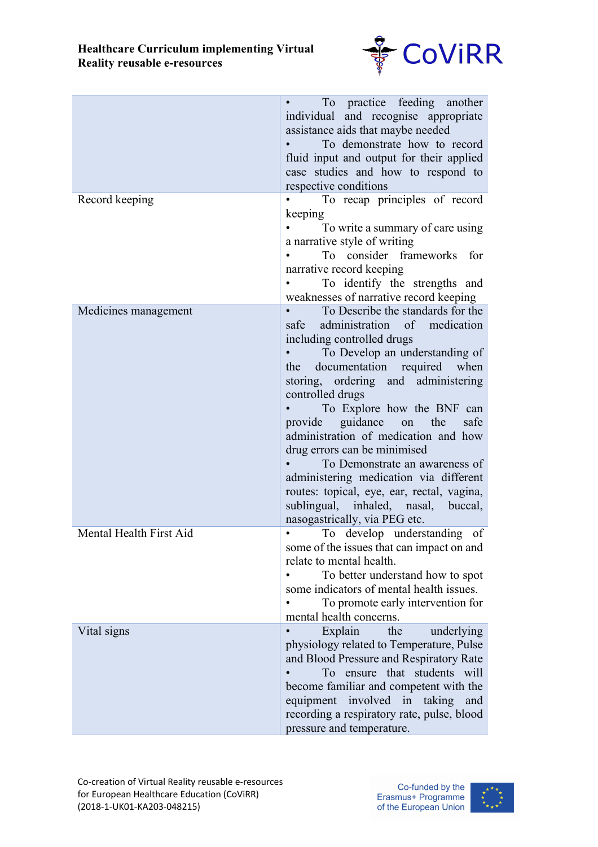

|                         | To practice feeding another<br>individual and recognise appropriate<br>assistance aids that maybe needed<br>To demonstrate how to record<br>fluid input and output for their applied<br>case studies and how to respond to<br>respective conditions                                                                                                                                                                                                                                                                                                                                         |
|-------------------------|---------------------------------------------------------------------------------------------------------------------------------------------------------------------------------------------------------------------------------------------------------------------------------------------------------------------------------------------------------------------------------------------------------------------------------------------------------------------------------------------------------------------------------------------------------------------------------------------|
| Record keeping          | To recap principles of record<br>keeping<br>To write a summary of care using<br>a narrative style of writing<br>To consider frameworks for<br>narrative record keeping<br>To identify the strengths and<br>weaknesses of narrative record keeping                                                                                                                                                                                                                                                                                                                                           |
| Medicines management    | To Describe the standards for the<br>administration of medication<br>safe<br>including controlled drugs<br>To Develop an understanding of<br>documentation required when<br>the<br>storing, ordering and administering<br>controlled drugs<br>To Explore how the BNF can<br>provide guidance<br>on<br>the<br>safe<br>administration of medication and how<br>drug errors can be minimised<br>To Demonstrate an awareness of<br>administering medication via different<br>routes: topical, eye, ear, rectal, vagina,<br>sublingual, inhaled, nasal, buccal,<br>nasogastrically, via PEG etc. |
| Mental Health First Aid | To develop understanding of<br>٠<br>some of the issues that can impact on and<br>relate to mental health.<br>To better understand how to spot<br>some indicators of mental health issues.<br>To promote early intervention for<br>mental health concerns.                                                                                                                                                                                                                                                                                                                                   |
| Vital signs             | Explain<br>the<br>underlying<br>physiology related to Temperature, Pulse<br>and Blood Pressure and Respiratory Rate<br>ensure that students will<br>To<br>become familiar and competent with the<br>equipment involved in taking<br>and<br>recording a respiratory rate, pulse, blood<br>pressure and temperature.                                                                                                                                                                                                                                                                          |

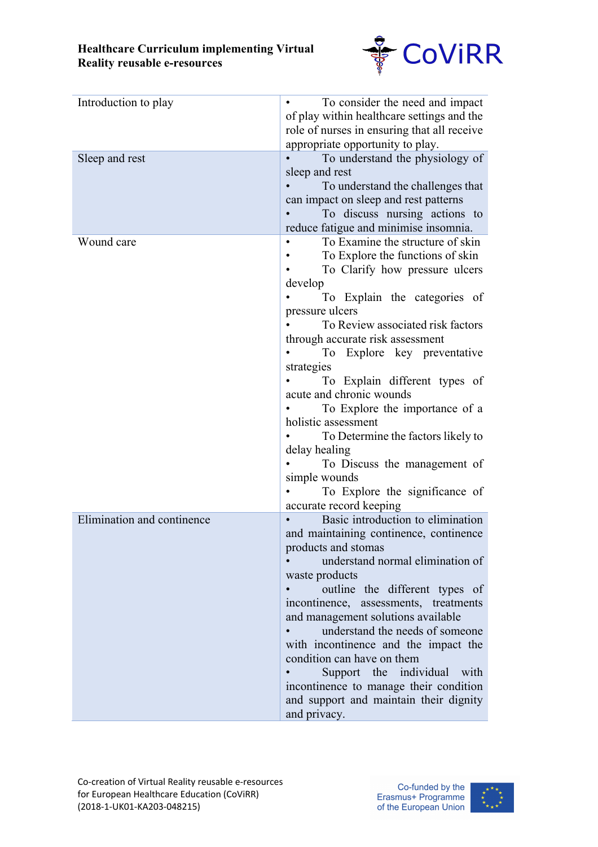

| Introduction to play       | To consider the need and impact<br>of play within healthcare settings and the<br>role of nurses in ensuring that all receive<br>appropriate opportunity to play.                                                                                                                                                                                                                                                                                                                                                                                                                           |
|----------------------------|--------------------------------------------------------------------------------------------------------------------------------------------------------------------------------------------------------------------------------------------------------------------------------------------------------------------------------------------------------------------------------------------------------------------------------------------------------------------------------------------------------------------------------------------------------------------------------------------|
| Sleep and rest             | To understand the physiology of<br>sleep and rest<br>To understand the challenges that<br>can impact on sleep and rest patterns<br>To discuss nursing actions to<br>reduce fatigue and minimise insomnia.                                                                                                                                                                                                                                                                                                                                                                                  |
| Wound care                 | To Examine the structure of skin<br>To Explore the functions of skin<br>To Clarify how pressure ulcers<br>develop<br>To Explain the categories of<br>pressure ulcers<br>To Review associated risk factors<br>through accurate risk assessment<br>To Explore key preventative<br>٠<br>strategies<br>To Explain different types of<br>acute and chronic wounds<br>To Explore the importance of a<br>holistic assessment<br>To Determine the factors likely to<br>delay healing<br>To Discuss the management of<br>simple wounds<br>To Explore the significance of<br>accurate record keeping |
| Elimination and continence | Basic introduction to elimination<br>and maintaining continence, continence<br>products and stomas<br>understand normal elimination of<br>waste products<br>outline the different types of<br>incontinence, assessments, treatments<br>and management solutions available<br>understand the needs of someone<br>with incontinence and the impact the<br>condition can have on them<br>Support the individual with<br>incontinence to manage their condition<br>and support and maintain their dignity<br>and privacy.                                                                      |

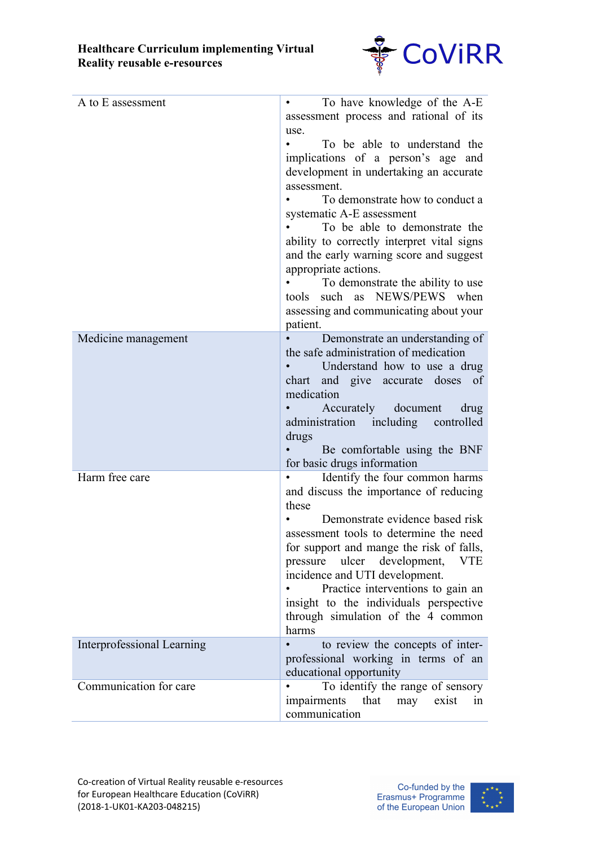

| A to E assessment          | To have knowledge of the A-E<br>assessment process and rational of its<br>use.<br>To be able to understand the<br>implications of a person's age and<br>development in undertaking an accurate<br>assessment.<br>To demonstrate how to conduct a<br>systematic A-E assessment<br>To be able to demonstrate the<br>ability to correctly interpret vital signs<br>and the early warning score and suggest<br>appropriate actions.<br>To demonstrate the ability to use<br>tools such as NEWS/PEWS when<br>assessing and communicating about your<br>patient. |
|----------------------------|------------------------------------------------------------------------------------------------------------------------------------------------------------------------------------------------------------------------------------------------------------------------------------------------------------------------------------------------------------------------------------------------------------------------------------------------------------------------------------------------------------------------------------------------------------|
| Medicine management        | Demonstrate an understanding of<br>the safe administration of medication<br>Understand how to use a drug<br>chart and give accurate doses of<br>medication<br>Accurately document<br>drug<br>administration including controlled<br>drugs<br>Be comfortable using the BNF<br>for basic drugs information                                                                                                                                                                                                                                                   |
| Harm free care             | Identify the four common harms<br>and discuss the importance of reducing<br>these<br>Demonstrate evidence based risk<br>assessment tools to determine the need<br>for support and mange the risk of falls,<br>pressure ulcer development, VTE<br>incidence and UTI development.<br>Practice interventions to gain an<br>insight to the individuals perspective<br>through simulation of the 4 common<br>harms                                                                                                                                              |
| Interprofessional Learning | to review the concepts of inter-<br>professional working in terms of an<br>educational opportunity                                                                                                                                                                                                                                                                                                                                                                                                                                                         |
| Communication for care     | To identify the range of sensory<br>impairments that<br>may exist<br>in<br>communication                                                                                                                                                                                                                                                                                                                                                                                                                                                                   |

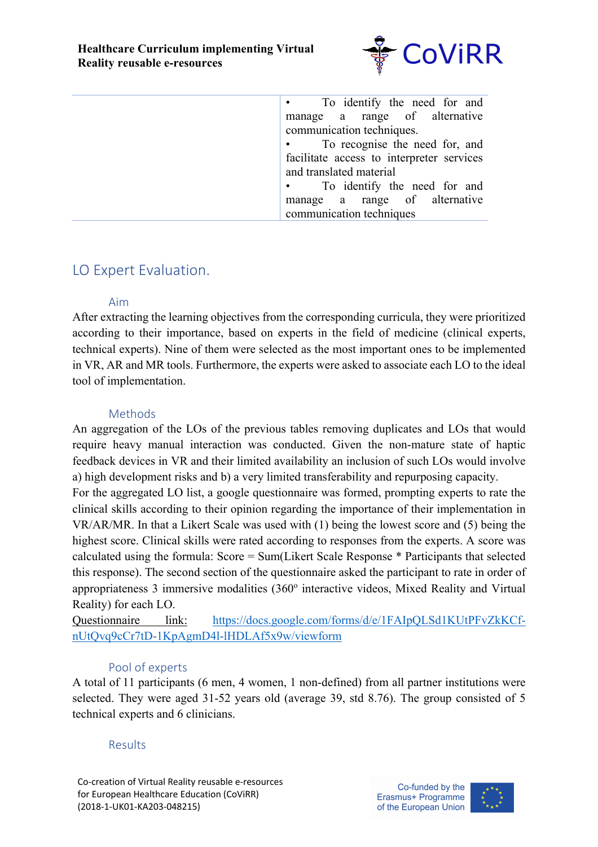

• To identify the need for and manage a range of alternative communication techniques. To recognise the need for, and facilitate access to interpreter services and translated material • To identify the need for and manage a range of alternative

communication techniques

### LO Expert Evaluation.

#### Aim

After extracting the learning objectives from the corresponding curricula, they were prioritized according to their importance, based on experts in the field of medicine (clinical experts, technical experts). Nine of them were selected as the most important ones to be implemented in VR, AR and MR tools. Furthermore, the experts were asked to associate each LO to the ideal tool of implementation.

#### Methods

An aggregation of the LOs of the previous tables removing duplicates and LOs that would require heavy manual interaction was conducted. Given the non-mature state of haptic feedback devices in VR and their limited availability an inclusion of such LOs would involve a) high development risks and b) a very limited transferability and repurposing capacity.

For the aggregated LO list, a google questionnaire was formed, prompting experts to rate the clinical skills according to their opinion regarding the importance of their implementation in VR/AR/MR. In that a Likert Scale was used with (1) being the lowest score and (5) being the highest score. Clinical skills were rated according to responses from the experts. A score was calculated using the formula: Score = Sum(Likert Scale Response \* Participants that selected this response). The second section of the questionnaire asked the participant to rate in order of appropriateness  $3$  immersive modalities  $(360^\circ$  interactive videos, Mixed Reality and Virtual Reality) for each LO.

Questionnaire link: https://docs.google.com/forms/d/e/1FAIpQLSd1KUtPFvZkKCfnUtQvq9cCr7tD-1KpAgmD4l-lHDLAf5x9w/viewform

#### Pool of experts

A total of 11 participants (6 men, 4 women, 1 non-defined) from all partner institutions were selected. They were aged 31-52 years old (average 39, std 8.76). The group consisted of 5 technical experts and 6 clinicians.

#### Results

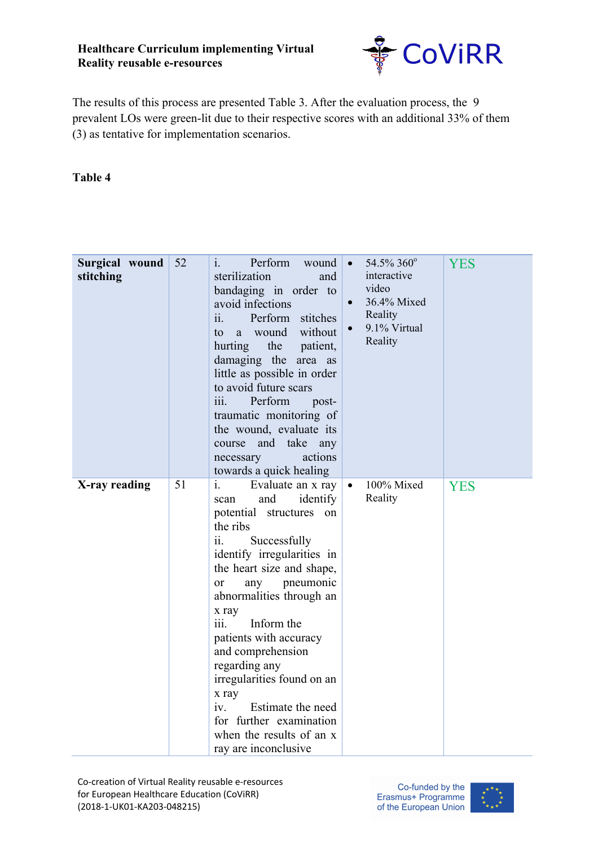

The results of this process are presented Table 3. After the evaluation process, the 9 prevalent LOs were green-lit due to their respective scores with an additional 33% of them (3) as tentative for implementation scenarios.

| Surgical wound<br>stitching | 52 | i.<br>Perform<br>wound<br>sterilization<br>and<br>bandaging in order to<br>avoid infections<br>ii.<br>Perform stitches<br>without<br>wound<br>to<br>a<br>the<br>patient,<br>hurting<br>damaging the<br>area as<br>little as possible in order<br>to avoid future scars<br>iii.<br>Perform<br>post-<br>traumatic monitoring of<br>the wound, evaluate its<br>take<br>and<br>any<br>course<br>actions<br>necessary<br>towards a quick healing                                           | $\bullet$ | 54.5% 360°<br>interactive<br>video<br>36.4% Mixed<br>Reality<br>9.1% Virtual<br>Reality | <b>YES</b> |
|-----------------------------|----|---------------------------------------------------------------------------------------------------------------------------------------------------------------------------------------------------------------------------------------------------------------------------------------------------------------------------------------------------------------------------------------------------------------------------------------------------------------------------------------|-----------|-----------------------------------------------------------------------------------------|------------|
| X-ray reading               | 51 | i.<br>Evaluate an x ray<br>and<br>identify<br>scan<br>potential structures<br>on<br>the ribs<br>ii.<br>Successfully<br>identify irregularities in<br>the heart size and shape,<br>pneumonic<br>any<br>or<br>abnormalities through an<br>x ray<br>iii.<br>Inform the<br>patients with accuracy<br>and comprehension<br>regarding any<br>irregularities found on an<br>x ray<br>Estimate the need<br>iv.<br>for further examination<br>when the results of an x<br>ray are inconclusive | $\bullet$ | 100% Mixed<br>Reality                                                                   | <b>YES</b> |

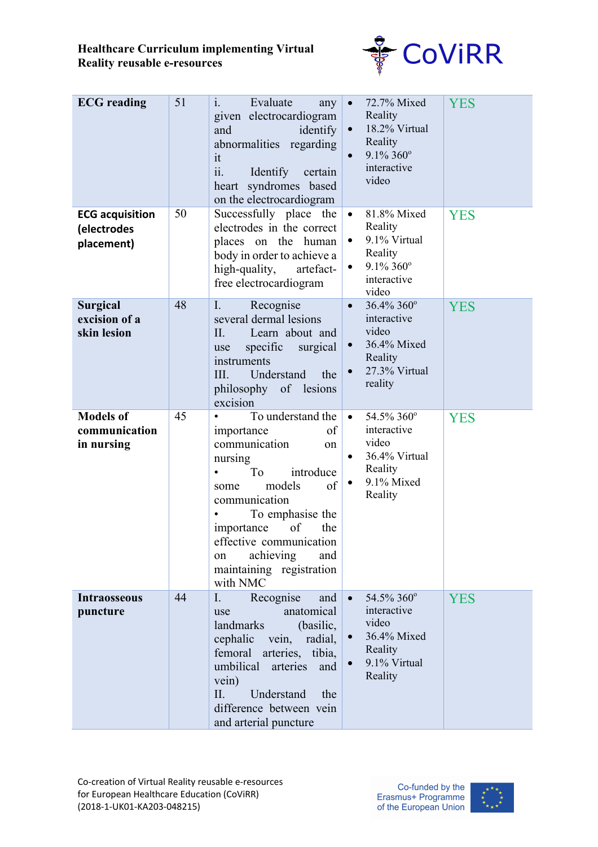

| <b>ECG</b> reading                                  | 51 | Evaluate<br>i.<br>any<br>given electrocardiogram<br>identify<br>and<br>abnormalities regarding<br>it<br>ii.<br>Identify<br>certain<br>heart syndromes based<br>on the electrocardiogram                                                                                         | 72.7% Mixed<br>Reality<br>18.2% Virtual<br>Reality<br>$9.1\%360°$<br>interactive<br>video | <b>YES</b> |
|-----------------------------------------------------|----|---------------------------------------------------------------------------------------------------------------------------------------------------------------------------------------------------------------------------------------------------------------------------------|-------------------------------------------------------------------------------------------|------------|
| <b>ECG acquisition</b><br>(electrodes<br>placement) | 50 | Successfully place the<br>electrodes in the correct<br>places on the human<br>body in order to achieve a<br>high-quality,<br>artefact-<br>free electrocardiogram                                                                                                                | 81.8% Mixed<br>Reality<br>9.1% Virtual<br>Reality<br>$9.1\%360°$<br>interactive<br>video  | <b>YES</b> |
| <b>Surgical</b><br>excision of a<br>skin lesion     | 48 | I.<br>Recognise<br>several dermal lesions<br>II.<br>Learn about and<br>specific<br>surgical<br>use<br>instruments<br>Understand<br>III.<br>the<br>philosophy of lesions<br>excision                                                                                             | 36.4% 360°<br>interactive<br>video<br>36.4% Mixed<br>Reality<br>27.3% Virtual<br>reality  | <b>YES</b> |
| <b>Models of</b><br>communication<br>in nursing     | 45 | To understand the<br>importance<br>of<br>communication<br>on<br>nursing<br>introduce<br>To<br>models<br>of<br>some<br>communication<br>To emphasise the<br>of<br>importance<br>the<br>effective communication<br>achieving<br>and<br>on<br>maintaining registration<br>with NMC | 54.5% 360°<br>interactive<br>video<br>36.4% Virtual<br>Reality<br>9.1% Mixed<br>Reality   | <b>YES</b> |
| <b>Intraosseous</b><br>puncture                     | 44 | Recognise<br>I.<br>and<br>anatomical<br>use<br>landmarks<br>(basilic,<br>cephalic vein,<br>radial,<br>femoral arteries,<br>tibia,<br>umbilical<br>arteries<br>and<br>vein)<br>II.<br>Understand<br>the<br>difference between vein<br>and arterial puncture                      | 54.5% 360°<br>interactive<br>video<br>36.4% Mixed<br>Reality<br>9.1% Virtual<br>Reality   | <b>YES</b> |

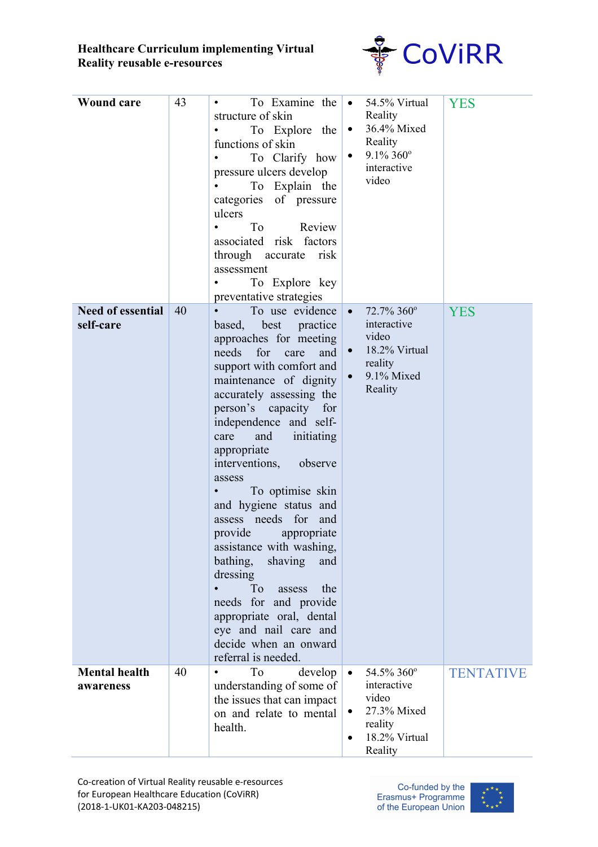

| <b>Wound care</b>                     | 43 | To Examine the<br>structure of skin<br>To Explore the<br>functions of skin<br>To Clarify how<br>pressure ulcers develop<br>To Explain the<br>categories of pressure<br>ulcers<br>To<br>Review<br>associated risk factors<br>through accurate<br>risk<br>assessment<br>To Explore key<br>preventative strategies                                                                                                                                                                                                                                                                                                                               | ٠         | 54.5% Virtual<br>Reality<br>36.4% Mixed<br>Reality<br>$9.1\%360°$<br>interactive<br>video | <b>YES</b>       |
|---------------------------------------|----|-----------------------------------------------------------------------------------------------------------------------------------------------------------------------------------------------------------------------------------------------------------------------------------------------------------------------------------------------------------------------------------------------------------------------------------------------------------------------------------------------------------------------------------------------------------------------------------------------------------------------------------------------|-----------|-------------------------------------------------------------------------------------------|------------------|
| <b>Need of essential</b><br>self-care | 40 | To use evidence<br>based, best practice<br>approaches for meeting<br>needs for care<br>and<br>support with comfort and<br>maintenance of dignity<br>accurately assessing the<br>person's<br>capacity for<br>independence and self-<br>initiating<br>care<br>and<br>appropriate<br>interventions, observe<br>assess<br>To optimise skin<br>and hygiene status and<br>assess needs for and<br>provide<br>appropriate<br>assistance with washing,<br>bathing,<br>shaving<br>and<br>dressing<br>To<br>the<br>assess<br>needs for and provide<br>appropriate oral, dental<br>eye and nail care and<br>decide when an onward<br>referral is needed. | $\bullet$ | 72.7% 360°<br>interactive<br>video<br>18.2% Virtual<br>reality<br>9.1% Mixed<br>Reality   | <b>YES</b>       |
| <b>Mental health</b><br>awareness     | 40 | To<br>develop<br>understanding of some of<br>the issues that can impact<br>on and relate to mental<br>health.                                                                                                                                                                                                                                                                                                                                                                                                                                                                                                                                 | $\bullet$ | 54.5% 360°<br>interactive<br>video<br>27.3% Mixed<br>reality<br>18.2% Virtual<br>Reality  | <b>TENTATIVE</b> |

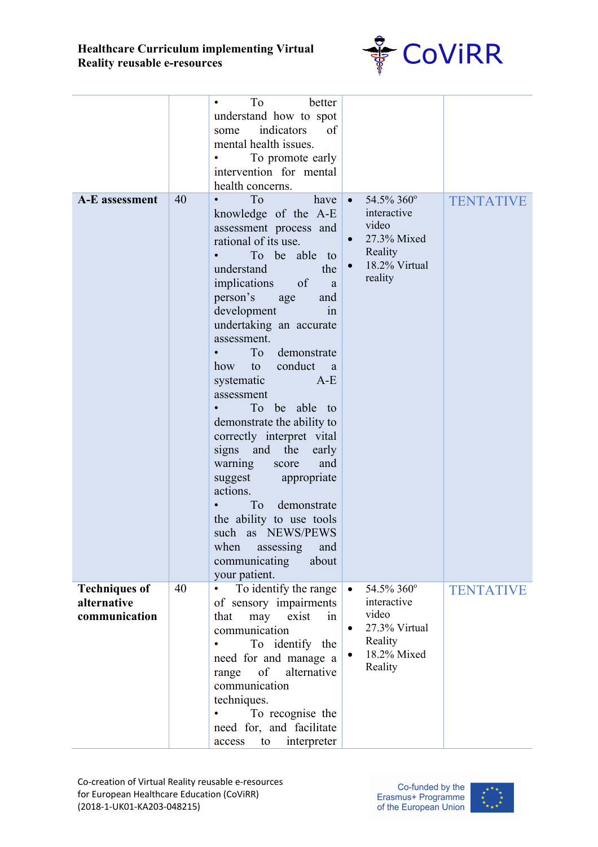

| A-E assessment                                       | 40 | To<br>better<br>$\bullet$<br>understand how to spot<br>indicators<br>of<br>some<br>mental health issues.<br>To promote early<br>intervention for mental<br>health concerns.<br>To<br>have<br>knowledge of the A-E<br>assessment process and<br>rational of its use.<br>To be<br>able<br>to                                                                                                                                                                                                                                                       | 54.5% 360°<br>interactive<br>video<br>27.3% Mixed<br>$\bullet$<br>Reality                                          | <b>TENTATIVE</b> |
|------------------------------------------------------|----|--------------------------------------------------------------------------------------------------------------------------------------------------------------------------------------------------------------------------------------------------------------------------------------------------------------------------------------------------------------------------------------------------------------------------------------------------------------------------------------------------------------------------------------------------|--------------------------------------------------------------------------------------------------------------------|------------------|
|                                                      |    | understand<br>the<br>implications<br>of<br>a<br>person's<br>age<br>and<br>development<br>1n<br>undertaking an accurate<br>assessment.<br>To<br>demonstrate<br>conduct<br>how<br>to<br>a<br>systematic<br>$A-E$<br>assessment<br>To be able to<br>demonstrate the ability to<br>correctly interpret vital<br>and<br>signs<br>the<br>early<br>warning<br>and<br>score<br>suggest<br>appropriate<br>actions.<br>To<br>demonstrate<br>the ability to use tools<br>such as NEWS/PEWS<br>when assessing and<br>communicating<br>about<br>your patient. | 18.2% Virtual<br>reality                                                                                           |                  |
| <b>Techniques of</b><br>alternative<br>communication | 40 | To identify the range<br>$\bullet$<br>of sensory impairments<br>that<br>may exist<br>in<br>communication<br>To identify the<br>$\bullet$<br>need for and manage a<br>alternative<br>of<br>range<br>communication<br>techniques.<br>To recognise the<br>need for, and facilitate<br>interpreter<br>access<br>to                                                                                                                                                                                                                                   | $\bullet$<br>54.5% 360°<br>interactive<br>video<br>27.3% Virtual<br>$\bullet$<br>Reality<br>18.2% Mixed<br>Reality | <b>TENTATIVE</b> |

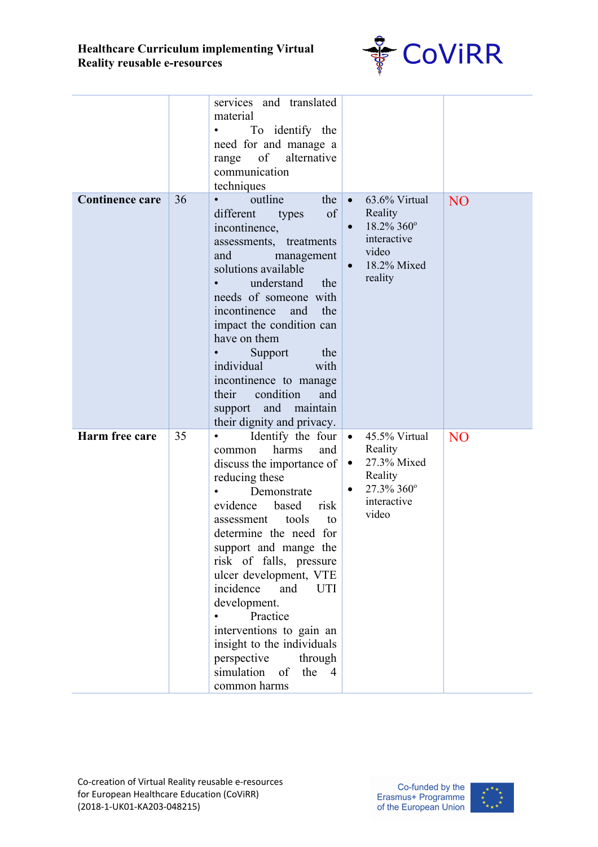

|                        |    | services and translated<br>material<br>To identify the<br>٠<br>need for and manage a<br>of<br>alternative<br>range<br>communication<br>techniques                                                                                                                                                                                                                                                                                                                                                            |                        |                                                                                          |           |
|------------------------|----|--------------------------------------------------------------------------------------------------------------------------------------------------------------------------------------------------------------------------------------------------------------------------------------------------------------------------------------------------------------------------------------------------------------------------------------------------------------------------------------------------------------|------------------------|------------------------------------------------------------------------------------------|-----------|
| <b>Continence care</b> | 36 | outline<br>the<br>of<br>different<br>types<br>incontinence,<br>assessments, treatments<br>and<br>management<br>solutions available<br>understand<br>the<br>needs of someone with<br>incontinence<br>and<br>the<br>impact the condition can<br>have on them<br>the<br>Support<br>individual<br>with<br>incontinence to manage<br>condition<br>their<br>and<br>and<br>maintain<br>support<br>their dignity and privacy.                                                                                        | $\bullet$              | 63.6% Virtual<br>Reality<br>18.2% 360°<br>interactive<br>video<br>18.2% Mixed<br>reality | <b>NO</b> |
| Harm free care         | 35 | Identify the four<br>$\bullet$<br>harms<br>and<br>common<br>discuss the importance of<br>reducing these<br>Demonstrate<br>٠<br>evidence<br>based<br>risk<br>tools<br>to<br>assessment<br>determine the need for<br>support and mange the<br>risk of falls, pressure<br>ulcer development, VTE<br>incidence<br>and<br><b>UTI</b><br>development.<br>Practice<br>interventions to gain an<br>insight to the individuals<br>perspective<br>through<br>simulation<br>of<br>the<br>$\overline{4}$<br>common harms | $\bullet$<br>$\bullet$ | 45.5% Virtual<br>Reality<br>27.3% Mixed<br>Reality<br>27.3% 360°<br>interactive<br>video | <b>NO</b> |

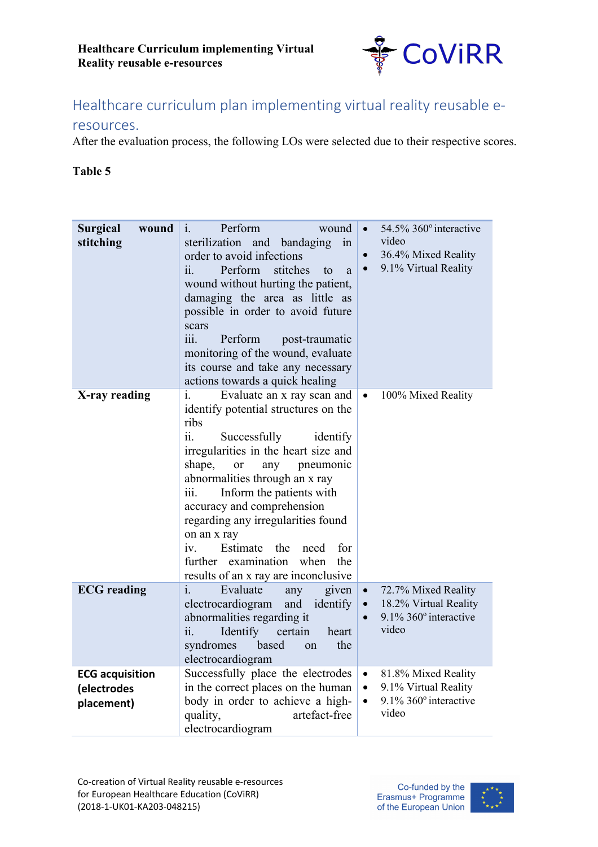

# Healthcare curriculum plan implementing virtual reality reusable e-

#### resources.

After the evaluation process, the following LOs were selected due to their respective scores.

| <b>Surgical</b><br>wound<br>stitching               | Perform<br>i.<br>wound<br>sterilization and bandaging<br>in<br>order to avoid infections<br>Perform<br>stitches<br>$\overline{11}$ .<br>to<br>a.<br>wound without hurting the patient,<br>damaging the area as little as<br>possible in order to avoid future<br>scars<br>Perform<br>$\overline{111}$ .<br>post-traumatic<br>monitoring of the wound, evaluate<br>its course and take any necessary<br>actions towards a quick healing                                              | 54.5% 360° interactive<br>$\bullet$<br>video<br>36.4% Mixed Reality<br>9.1% Virtual Reality<br>$\bullet$                          |
|-----------------------------------------------------|-------------------------------------------------------------------------------------------------------------------------------------------------------------------------------------------------------------------------------------------------------------------------------------------------------------------------------------------------------------------------------------------------------------------------------------------------------------------------------------|-----------------------------------------------------------------------------------------------------------------------------------|
| X-ray reading                                       | Evaluate an x ray scan and<br>i.<br>identify potential structures on the<br>ribs<br>ii.<br>Successfully<br>identify<br>irregularities in the heart size and<br>shape,<br>pneumonic<br><b>or</b><br>any<br>abnormalities through an x ray<br>iii.<br>Inform the patients with<br>accuracy and comprehension<br>regarding any irregularities found<br>on an x ray<br>iv.<br>Estimate<br>the<br>need<br>for<br>further examination when<br>the<br>results of an x ray are inconclusive | 100% Mixed Reality<br>$\bullet$                                                                                                   |
| <b>ECG</b> reading                                  | $\mathbf{i}$ .<br>Evaluate<br>given<br>any<br>identify<br>electrocardiogram<br>and<br>abnormalities regarding it<br>ii.<br>Identify<br>certain<br>heart<br>based<br>syndromes<br>the<br>on<br>electrocardiogram                                                                                                                                                                                                                                                                     | 72.7% Mixed Reality<br>$\bullet$<br>18.2% Virtual Reality<br>$\bullet$<br>$9.1\%$ 360 $\degree$ interactive<br>$\bullet$<br>video |
| <b>ECG</b> acquisition<br>(electrodes<br>placement) | Successfully place the electrodes<br>in the correct places on the human<br>body in order to achieve a high-<br>artefact-free<br>quality,<br>electrocardiogram                                                                                                                                                                                                                                                                                                                       | 81.8% Mixed Reality<br>$\bullet$<br>9.1% Virtual Reality<br>$\bullet$<br>9.1% 360° interactive<br>$\bullet$<br>video              |

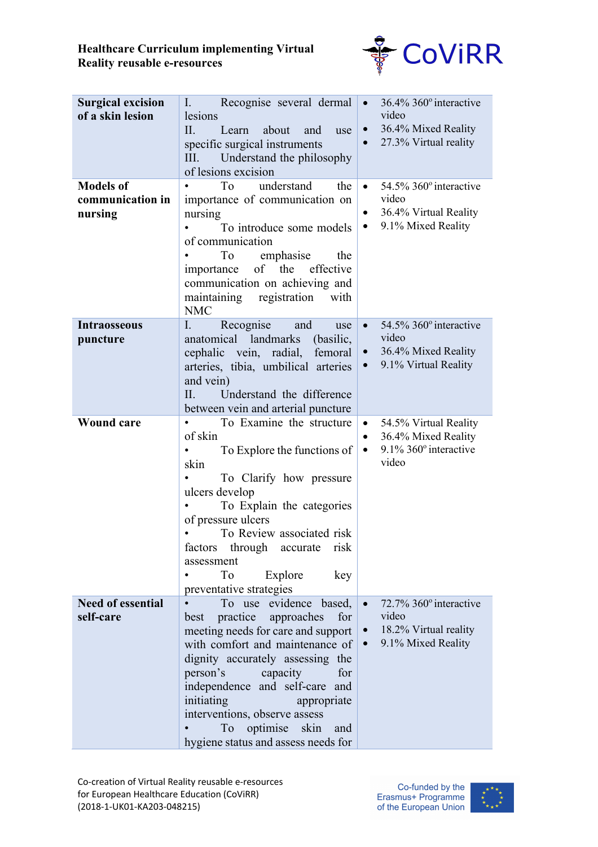

| <b>Surgical excision</b><br>of a skin lesion    | Recognise several dermal<br>$\mathbf{I}$ .<br>lesions<br>II.<br>about<br>Learn<br>and<br>use<br>specific surgical instruments<br>III. Understand the philosophy<br>of lesions excision                                                                                                                                                                                              | 36.4% 360° interactive<br>$\bullet$<br>video<br>36.4% Mixed Reality<br>$\bullet$<br>27.3% Virtual reality<br>$\bullet$  |
|-------------------------------------------------|-------------------------------------------------------------------------------------------------------------------------------------------------------------------------------------------------------------------------------------------------------------------------------------------------------------------------------------------------------------------------------------|-------------------------------------------------------------------------------------------------------------------------|
| <b>Models of</b><br>communication in<br>nursing | To<br>understand<br>the<br>importance of communication on<br>nursing<br>To introduce some models<br>of communication<br>To<br>emphasise<br>the<br>of the<br>effective<br>importance<br>communication on achieving and<br>maintaining registration<br>with<br><b>NMC</b>                                                                                                             | 54.5% 360° interactive<br>$\bullet$<br>video<br>36.4% Virtual Reality<br>٠<br>9.1% Mixed Reality<br>$\bullet$           |
| <b>Intraosseous</b><br>puncture                 | Recognise<br>Ι.<br>and<br>use<br>anatomical landmarks<br>(basilic,<br>cephalic vein, radial,<br>femoral<br>arteries, tibia, umbilical arteries<br>and vein)<br>II.<br>Understand the difference<br>between vein and arterial puncture                                                                                                                                               | 54.5% 360° interactive<br>$\bullet$<br>video<br>36.4% Mixed Reality<br>$\bullet$<br>9.1% Virtual Reality<br>$\bullet$   |
| <b>Wound care</b>                               | To Examine the structure<br>$\bullet$<br>of skin<br>To Explore the functions of<br>٠<br>skin<br>To Clarify how pressure<br>ulcers develop<br>To Explain the categories<br>of pressure ulcers<br>To Review associated risk<br>factors<br>through<br>accurate<br>risk<br>assessment<br>To<br>Explore<br>key<br>preventative strategies                                                | 54.5% Virtual Reality<br>$\bullet$<br>36.4% Mixed Reality<br>٠<br>$9.1\%$ 360 $\circ$ interactive<br>$\bullet$<br>video |
| <b>Need of essential</b><br>self-care           | To use evidence based,<br>practice<br>approaches<br>for<br>best<br>meeting needs for care and support<br>with comfort and maintenance of<br>dignity accurately assessing the<br>person's<br>for<br>capacity<br>independence and self-care and<br>initiating<br>appropriate<br>interventions, observe assess<br>optimise<br>skin<br>To<br>and<br>hygiene status and assess needs for | $72.7\%$ 360 $\degree$ interactive<br>$\bullet$<br>video<br>18.2% Virtual reality<br>9.1% Mixed Reality                 |

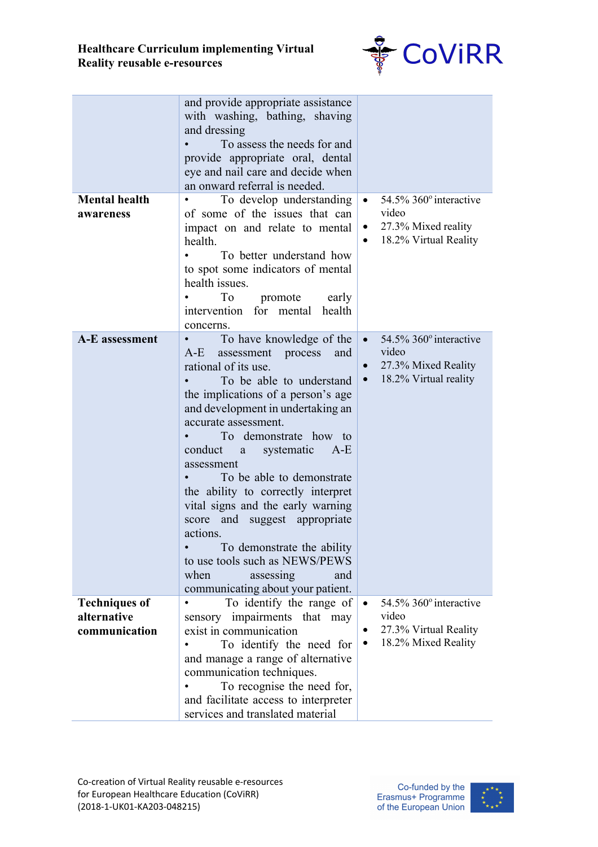

|                                                      | and provide appropriate assistance<br>with washing, bathing, shaving<br>and dressing                                                                                                                                                                                                                                                                                                                                                                                                                                                                                                      |                                                                                                                |
|------------------------------------------------------|-------------------------------------------------------------------------------------------------------------------------------------------------------------------------------------------------------------------------------------------------------------------------------------------------------------------------------------------------------------------------------------------------------------------------------------------------------------------------------------------------------------------------------------------------------------------------------------------|----------------------------------------------------------------------------------------------------------------|
|                                                      | To assess the needs for and<br>provide appropriate oral, dental<br>eye and nail care and decide when<br>an onward referral is needed.                                                                                                                                                                                                                                                                                                                                                                                                                                                     |                                                                                                                |
| <b>Mental health</b><br>awareness                    | To develop understanding<br>of some of the issues that can<br>impact on and relate to mental<br>health.<br>To better understand how<br>to spot some indicators of mental<br>health issues.<br>To<br>promote<br>early<br>intervention for mental health<br>concerns.                                                                                                                                                                                                                                                                                                                       | 54.5% 360° interactive<br>$\bullet$<br>video<br>27.3% Mixed reality<br>$\bullet$<br>18.2% Virtual Reality<br>٠ |
| A-E assessment                                       | To have knowledge of the<br>$A-E$<br>assessment process<br>and<br>rational of its use.<br>To be able to understand<br>the implications of a person's age<br>and development in undertaking an<br>accurate assessment.<br>To demonstrate how to<br>conduct<br>systematic A-E<br>a a<br>assessment<br>To be able to demonstrate<br>the ability to correctly interpret<br>vital signs and the early warning<br>and suggest appropriate<br>score<br>actions.<br>To demonstrate the ability<br>to use tools such as NEWS/PEWS<br>when<br>assessing<br>and<br>communicating about your patient. | 54.5% 360° interactive<br>$\bullet$<br>video<br>27.3% Mixed Reality<br>18.2% Virtual reality<br>$\bullet$      |
| <b>Techniques of</b><br>alternative<br>communication | To identify the range of<br>٠<br>sensory impairments that may<br>exist in communication<br>To identify the need for<br>and manage a range of alternative<br>communication techniques.<br>To recognise the need for,<br>and facilitate access to interpreter<br>services and translated material                                                                                                                                                                                                                                                                                           | 54.5% 360° interactive<br>$\bullet$<br>video<br>27.3% Virtual Reality<br>18.2% Mixed Reality<br>٠              |

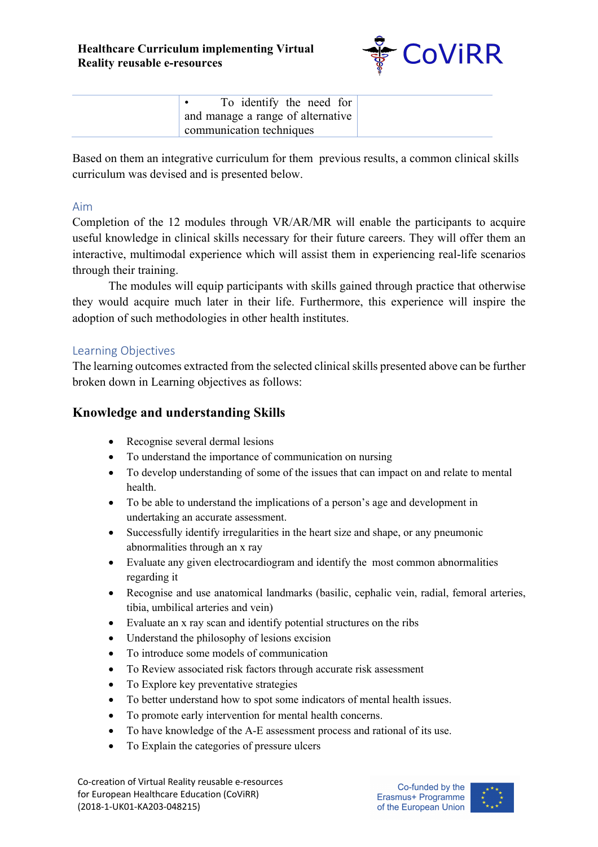

| To identify the need for          |
|-----------------------------------|
| and manage a range of alternative |
| communication techniques          |

Based on them an integrative curriculum for them previous results, a common clinical skills curriculum was devised and is presented below.

#### Aim

Completion of the 12 modules through VR/AR/MR will enable the participants to acquire useful knowledge in clinical skills necessary for their future careers. They will offer them an interactive, multimodal experience which will assist them in experiencing real-life scenarios through their training.

The modules will equip participants with skills gained through practice that otherwise they would acquire much later in their life. Furthermore, this experience will inspire the adoption of such methodologies in other health institutes.

#### Learning Objectives

The learning outcomes extracted from the selected clinical skills presented above can be further broken down in Learning objectives as follows:

#### **Knowledge and understanding Skills**

- Recognise several dermal lesions
- To understand the importance of communication on nursing
- To develop understanding of some of the issues that can impact on and relate to mental health.
- To be able to understand the implications of a person's age and development in undertaking an accurate assessment.
- Successfully identify irregularities in the heart size and shape, or any pneumonic abnormalities through an x ray
- Evaluate any given electrocardiogram and identify the most common abnormalities regarding it
- Recognise and use anatomical landmarks (basilic, cephalic vein, radial, femoral arteries, tibia, umbilical arteries and vein)
- Evaluate an x ray scan and identify potential structures on the ribs
- Understand the philosophy of lesions excision
- To introduce some models of communication
- To Review associated risk factors through accurate risk assessment
- To Explore key preventative strategies
- To better understand how to spot some indicators of mental health issues.
- To promote early intervention for mental health concerns.
- To have knowledge of the A-E assessment process and rational of its use.
- To Explain the categories of pressure ulcers